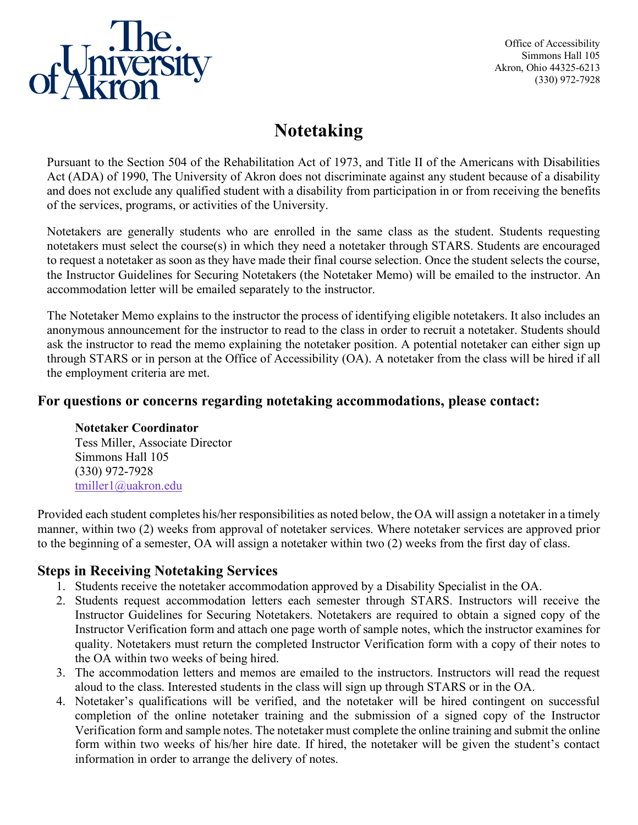

Office of Accessibility Simmons Hall 105 Akron, Ohio 44325-6213 (330) 972-7928

# **Notetaking**

Pursuant to the Section 504 of the Rehabilitation Act of 1973, and Title II of the Americans with Disabilities Act (ADA) of 1990, The University of Akron does not discriminate against any student because of a disability and does not exclude any qualified student with a disability from participation in or from receiving the benefits of the services, programs, or activities of the University.

Notetakers are generally students who are enrolled in the same class as the student. Students requesting notetakers must select the course(s) in which they need a notetaker through STARS. Students are encouraged to request a notetaker as soon as they have made their final course selection. Once the student selects the course, the Instructor Guidelines for Securing Notetakers (the Notetaker Memo) will be emailed to the instructor. An accommodation letter will be emailed separately to the instructor.

The Notetaker Memo explains to the instructor the process of identifying eligible notetakers. It also includes an anonymous announcement for the instructor to read to the class in order to recruit a notetaker. Students should ask the instructor to read the memo explaining the notetaker position. A potential notetaker can either sign up through STARS or in person at the Office of Accessibility (OA). A notetaker from the class will be hired if all the employment criteria are met.

### **For questions or concerns regarding notetaking accommodations, please contact:**

#### **Notetaker Coordinator**

Tess Miller, Associate Director Simmons Hall 105 (330) 972-7928 [tmiller1@uakron.edu](mailto:tmiller1@uakron.edu) 

Provided each student completes his/her responsibilities as noted below, the OA will assign a notetaker in a timely manner, within two (2) weeks from approval of notetaker services. Where notetaker services are approved prior to the beginning of a semester, OA will assign a notetaker within two (2) weeks from the first day of class.

### **Steps in Receiving Notetaking Services**

- 1. Students receive the notetaker accommodation approved by a Disability Specialist in the OA.
- 2. Students request accommodation letters each semester through STARS. Instructors will receive the Instructor Guidelines for Securing Notetakers. Notetakers are required to obtain a signed copy of the Instructor Verification form and attach one page worth of sample notes, which the instructor examines for quality. Notetakers must return the completed Instructor Verification form with a copy of their notes to the OA within two weeks of being hired.
- 3. The accommodation letters and memos are emailed to the instructors. Instructors will read the request aloud to the class. Interested students in the class will sign up through STARS or in the OA.
- 4. Notetaker's qualifications will be verified, and the notetaker will be hired contingent on successful completion of the online notetaker training and the submission of a signed copy of the Instructor Verification form and sample notes. The notetaker must complete the online training and submit the online form within two weeks of his/her hire date. If hired, the notetaker will be given the student's contact information in order to arrange the delivery of notes.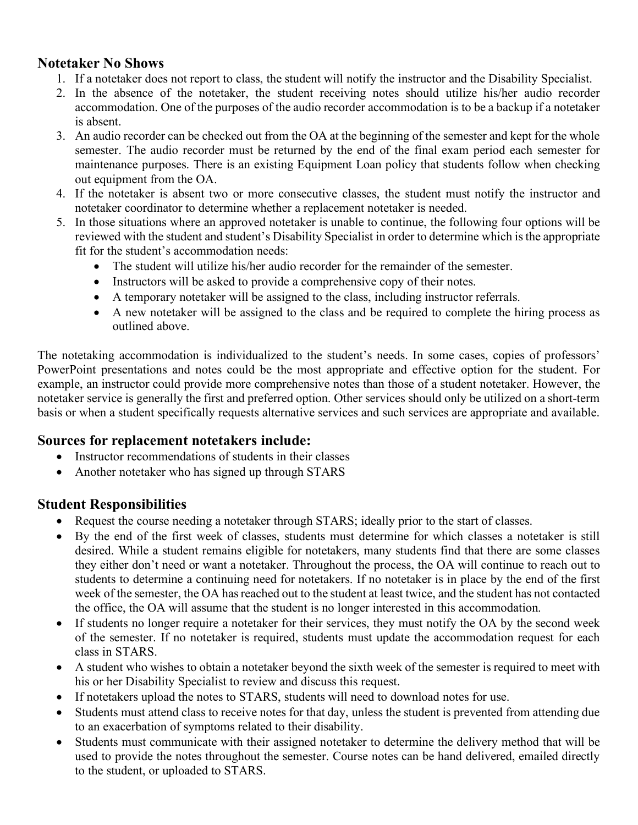# **Notetaker No Shows**

- 1. If a notetaker does not report to class, the student will notify the instructor and the Disability Specialist.
- 2. In the absence of the notetaker, the student receiving notes should utilize his/her audio recorder accommodation. One of the purposes of the audio recorder accommodation is to be a backup if a notetaker is absent.
- 3. An audio recorder can be checked out from the OA at the beginning of the semester and kept for the whole semester. The audio recorder must be returned by the end of the final exam period each semester for maintenance purposes. There is an existing Equipment Loan policy that students follow when checking out equipment from the OA.
- 4. If the notetaker is absent two or more consecutive classes, the student must notify the instructor and notetaker coordinator to determine whether a replacement notetaker is needed.
- 5. In those situations where an approved notetaker is unable to continue, the following four options will be reviewed with the student and student's Disability Specialist in order to determine which is the appropriate fit for the student's accommodation needs:
	- The student will utilize his/her audio recorder for the remainder of the semester.
	- Instructors will be asked to provide a comprehensive copy of their notes.
	- A temporary notetaker will be assigned to the class, including instructor referrals.
	- A new notetaker will be assigned to the class and be required to complete the hiring process as outlined above.

The notetaking accommodation is individualized to the student's needs. In some cases, copies of professors' PowerPoint presentations and notes could be the most appropriate and effective option for the student. For example, an instructor could provide more comprehensive notes than those of a student notetaker. However, the notetaker service is generally the first and preferred option. Other services should only be utilized on a short-term basis or when a student specifically requests alternative services and such services are appropriate and available.

# **Sources for replacement notetakers include:**

- Instructor recommendations of students in their classes
- Another notetaker who has signed up through STARS

# **Student Responsibilities**

- Request the course needing a notetaker through STARS; ideally prior to the start of classes.
- By the end of the first week of classes, students must determine for which classes a notetaker is still desired. While a student remains eligible for notetakers, many students find that there are some classes they either don't need or want a notetaker. Throughout the process, the OA will continue to reach out to students to determine a continuing need for notetakers. If no notetaker is in place by the end of the first week of the semester, the OA has reached out to the student at least twice, and the student has not contacted the office, the OA will assume that the student is no longer interested in this accommodation.
- If students no longer require a notetaker for their services, they must notify the OA by the second week of the semester. If no notetaker is required, students must update the accommodation request for each class in STARS.
- A student who wishes to obtain a notetaker beyond the sixth week of the semester is required to meet with his or her Disability Specialist to review and discuss this request.
- If notetakers upload the notes to STARS, students will need to download notes for use.
- Students must attend class to receive notes for that day, unless the student is prevented from attending due to an exacerbation of symptoms related to their disability.
- Students must communicate with their assigned notetaker to determine the delivery method that will be used to provide the notes throughout the semester. Course notes can be hand delivered, emailed directly to the student, or uploaded to STARS.